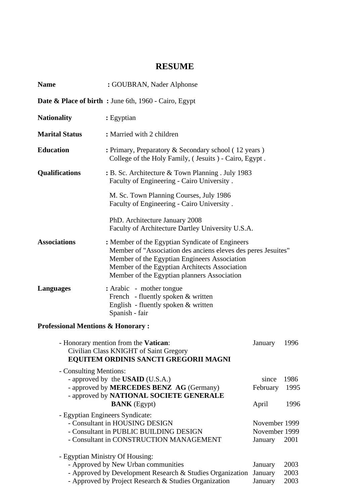# **RESUME**

| <b>Name</b>                                                                                                             | : GOUBRAN, Nader Alphonse                                                                                                                                                                                                                                        |                                           |                      |  |
|-------------------------------------------------------------------------------------------------------------------------|------------------------------------------------------------------------------------------------------------------------------------------------------------------------------------------------------------------------------------------------------------------|-------------------------------------------|----------------------|--|
|                                                                                                                         | <b>Date &amp; Place of birth:</b> June 6th, 1960 - Cairo, Egypt                                                                                                                                                                                                  |                                           |                      |  |
| <b>Nationality</b>                                                                                                      | : Egyptian                                                                                                                                                                                                                                                       |                                           |                      |  |
| <b>Marital Status</b>                                                                                                   | : Married with 2 children                                                                                                                                                                                                                                        |                                           |                      |  |
| <b>Education</b>                                                                                                        | : Primary, Preparatory & Secondary school (12 years)<br>College of the Holy Family, (Jesuits) - Cairo, Egypt.                                                                                                                                                    |                                           |                      |  |
| <b>Qualifications</b>                                                                                                   | $\cdot$ B. Sc. Architecture & Town Planning . July 1983<br>Faculty of Engineering - Cairo University.                                                                                                                                                            |                                           |                      |  |
|                                                                                                                         | M. Sc. Town Planning Courses, July 1986<br>Faculty of Engineering - Cairo University.                                                                                                                                                                            |                                           |                      |  |
|                                                                                                                         | PhD. Architecture January 2008<br>Faculty of Architecture Dartley University U.S.A.                                                                                                                                                                              |                                           |                      |  |
| <b>Associations</b>                                                                                                     | : Member of the Egyptian Syndicate of Engineers<br>Member of "Association des anciens eleves des peres Jesuites"<br>Member of the Egyptian Engineers Association<br>Member of the Egyptian Architects Association<br>Member of the Egyptian planners Association |                                           |                      |  |
| <b>Languages</b>                                                                                                        | : Arabic - mother tongue<br>French - fluently spoken & written<br>English - fluently spoken & written<br>Spanish - fair                                                                                                                                          |                                           |                      |  |
| <b>Professional Mentions &amp; Honorary:</b>                                                                            |                                                                                                                                                                                                                                                                  |                                           |                      |  |
| - Honorary mention from the Vatican:<br>Civilian Class KNIGHT of Saint Gregory<br>EQUITEM ORDINIS SANCTI GREGORII MAGNI |                                                                                                                                                                                                                                                                  | January                                   | 1996                 |  |
| - Consulting Mentions:                                                                                                  | - approved by the <b>USAID</b> (U.S.A.)<br>- approved by <b>MERCEDES BENZ</b> AG (Germany)<br>- approved by NATIONAL SOCIETE GENERALE<br><b>BANK</b> (Egypt)                                                                                                     | since<br>February<br>April                | 1986<br>1995<br>1996 |  |
|                                                                                                                         | - Egyptian Engineers Syndicate:<br>- Consultant in HOUSING DESIGN<br>- Consultant in PUBLIC BUILDING DESIGN<br>- Consultant in CONSTRUCTION MANAGEMENT                                                                                                           | November 1999<br>November 1999<br>January | 2001                 |  |
|                                                                                                                         | - Egyptian Ministry Of Housing:<br>- Approved by New Urban communities<br>- Approved by Development Research & Studies Organization<br>- Approved by Project Research & Studies Organization                                                                     | January<br>January<br>January             | 2003<br>2003<br>2003 |  |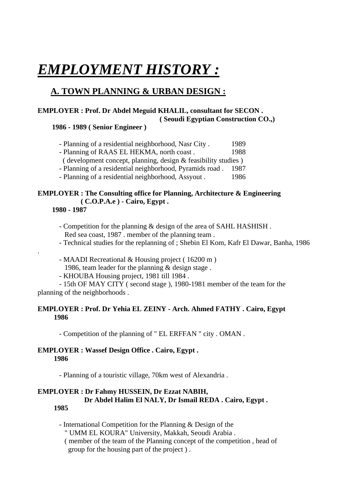# *EMPLOYMENT HISTORY :*

# **A. TOWN PLANNING & URBAN DESIGN :**

### **EMPLOYER : Prof. Dr Abdel Meguid KHALIL, consultant for SECON . ( Seoudi Egyptian Construction CO.,)**

#### **1986 - 1989 ( Senior Engineer )**

- Planning of a residential neighborhood, Nasr City . 1989
- Planning of RAAS EL HEKMA, north coast . 1988
- ( development concept, planning, design & feasibility studies )
- Planning of a residential neighborhood, Pyramids road . 1987
- Planning of a residential neighborhood, Assyout . 1986

# **EMPLOYER : The Consulting office for Planning, Architecture & Engineering ( C.O.P.A.e ) - Cairo, Egypt .**

 **1980 - 1987** 

.

- Competition for the planning & design of the area of SAHL HASHISH . Red sea coast, 1987 . member of the planning team .
- Technical studies for the replanning of ; Shebin El Kom, Kafr El Dawar, Banha, 1986
- MAADI Recreational & Housing project ( 16200 m )
- 1986, team leader for the planning & design stage .
- KHOUBA Housing project, 1981 till 1984 .
- 15th OF MAY CITY ( second stage ), 1980-1981 member of the team for the planning of the neighborhoods .

#### **EMPLOYER : Prof. Dr Yehia EL ZEINY - Arch. Ahmed FATHY . Cairo, Egypt 1986**

- Competition of the planning of " EL ERFFAN " city . OMAN .

#### **EMPLOYER : Wassef Design Office . Cairo, Egypt . 1986**

- Planning of a touristic village, 70km west of Alexandria .

#### **EMPLOYER : Dr Fahmy HUSSEIN, Dr Ezzat NABIH, Dr Abdel Halim El NALY, Dr Ismail REDA . Cairo, Egypt . 1985**

- International Competition for the Planning & Design of the " UMM EL KOURA" University, Makkah, Seoudi Arabia . ( member of the team of the Planning concept of the competition , head of group for the housing part of the project ) .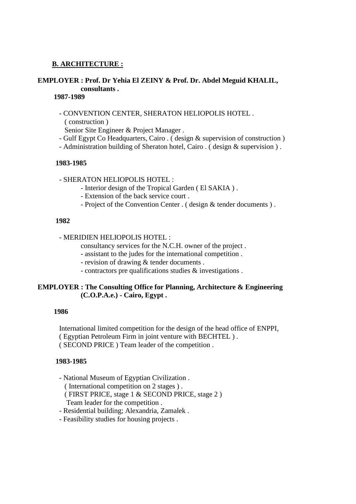#### **B. ARCHITECTURE :**

#### **EMPLOYER : Prof. Dr Yehia El ZEINY & Prof. Dr. Abdel Meguid KHALIL, consultants .**

#### **1987-1989**

- CONVENTION CENTER, SHERATON HELIOPOLIS HOTEL . ( construction )

Senior Site Engineer & Project Manager .

- Gulf Egypt Co Headquarters, Cairo . ( design & supervision of construction )
- Administration building of Sheraton hotel, Cairo . ( design & supervision ) .

#### **1983-1985**

- SHERATON HELIOPOLIS HOTEL :

- Interior design of the Tropical Garden ( El SAKIA ) .
- Extension of the back service court .
- Project of the Convention Center . ( design & tender documents ) .

#### **1982**

#### - MERIDIEN HELIOPOLIS HOTEL :

consultancy services for the N.C.H. owner of the project .

- assistant to the judes for the international competition .
- revision of drawing & tender documents .
- contractors pre qualifications studies & investigations .

#### **EMPLOYER : The Consulting Office for Planning, Architecture & Engineering (C.O.P.A.e.) - Cairo, Egypt .**

#### **1986**

International limited competition for the design of the head office of ENPPI, ( Egyptian Petroleum Firm in joint venture with BECHTEL ) . ( SECOND PRICE ) Team leader of the competition .

#### **1983-1985**

- National Museum of Egyptian Civilization .

( International competition on 2 stages ) .

- ( FIRST PRICE, stage 1 & SECOND PRICE, stage 2 ) Team leader for the competition .
- Residential building; Alexandria, Zamalek .
- Feasibility studies for housing projects .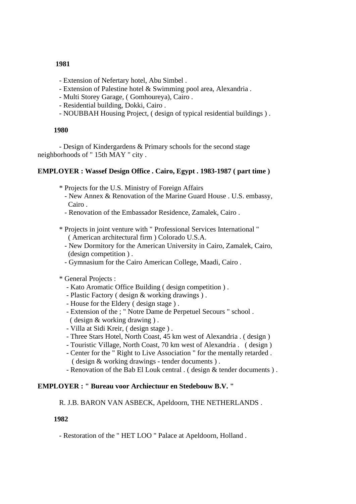#### **1981**

- Extension of Nefertary hotel, Abu Simbel .
- Extension of Palestine hotel & Swimming pool area, Alexandria .
- Multi Storey Garage, ( Gomhoureya), Cairo .
- Residential building, Dokki, Cairo .
- NOUBBAH Housing Project, ( design of typical residential buildings ) .

#### **1980**

- Design of Kindergardens & Primary schools for the second stage neighborhoods of " 15th MAY " city .

#### **EMPLOYER : Wassef Design Office . Cairo, Egypt . 1983-1987 ( part time )**

- \* Projects for the U.S. Ministry of Foreign Affairs
	- New Annex & Renovation of the Marine Guard House . U.S. embassy, Cairo .
	- Renovation of the Embassador Residence, Zamalek, Cairo .
- \* Projects in joint venture with " Professional Services International " ( American architectural firm ) Colorado U.S.A.
	- New Dormitory for the American University in Cairo, Zamalek, Cairo, (design competition ) .
	- Gymnasium for the Cairo American College, Maadi, Cairo .

#### \* General Projects :

- Kato Aromatic Office Building ( design competition ) .
- Plastic Factory ( design & working drawings ) .
- House for the Eldery ( design stage ) .
- Extension of the ; " Notre Dame de Perpetuel Secours " school . ( design & working drawing ) .
- Villa at Sidi Kreir, ( design stage ) .
- Three Stars Hotel, North Coast, 45 km west of Alexandria . ( design )
- Touristic Village, North Coast, 70 km west of Alexandria . ( design )
- Center for the " Right to Live Association " for the mentally retarded . ( design & working drawings - tender documents ) .
- Renovation of the Bab El Louk central . (design & tender documents).

#### **EMPLOYER : " Bureau voor Archiectuur en Stedebouw B.V. "**

R. J.B. BARON VAN ASBECK, Apeldoorn, THE NETHERLANDS .

#### **1982**

- Restoration of the " HET LOO " Palace at Apeldoorn, Holland .